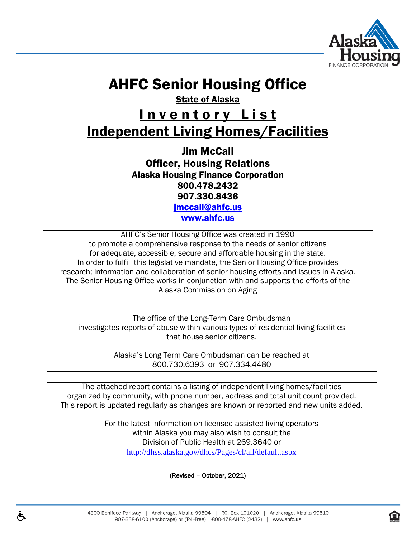

# AHFC Senior Housing Office

State of Alaska

# Inventory List Independent Living Homes/Facilities

Jim McCall Officer, Housing Relations Alaska Housing Finance Corporation 800.478.2432 907.330.8436 [jmccall@ahfc.us](mailto:jmccall@ahfc.us)

[www.ahfc.us](http://www.ahfc.us/)

AHFC's Senior Housing Office was created in 1990 to promote a comprehensive response to the needs of senior citizens for adequate, accessible, secure and affordable housing in the state. In order to fulfill this legislative mandate, the Senior Housing Office provides research; information and collaboration of senior housing efforts and issues in Alaska. The Senior Housing Office works in conjunction with and supports the efforts of the Alaska Commission on Aging

The office of the Long-Term Care Ombudsman investigates reports of abuse within various types of residential living facilities that house senior citizens.

> Alaska's Long Term Care Ombudsman can be reached at 800.730.6393 or 907.334.4480

The attached report contains a listing of independent living homes/facilities organized by community, with phone number, address and total unit count provided. This report is updated regularly as changes are known or reported and new units added.

> For the latest information on licensed assisted living operators within Alaska you may also wish to consult the Division of Public Health at 269.3640 or <http://dhss.alaska.gov/dhcs/Pages/cl/all/default.aspx>

> > (Revised – October, 2021)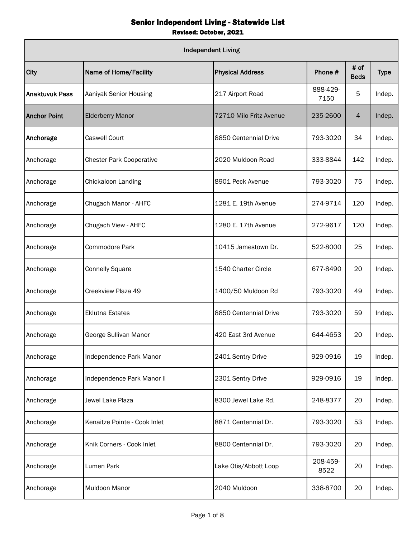|                       | <b>Independent Living</b>       |                         |                  |                     |             |  |  |  |
|-----------------------|---------------------------------|-------------------------|------------------|---------------------|-------------|--|--|--|
| City                  | Name of Home/Facility           | <b>Physical Address</b> | Phone #          | # of<br><b>Beds</b> | <b>Type</b> |  |  |  |
| <b>Anaktuvuk Pass</b> | Aaniyak Senior Housing          | 217 Airport Road        | 888-429-<br>7150 | 5                   | Indep.      |  |  |  |
| <b>Anchor Point</b>   | <b>Elderberry Manor</b>         | 72710 Milo Fritz Avenue | 235-2600         | 4                   | Indep.      |  |  |  |
| Anchorage             | <b>Caswell Court</b>            | 8850 Centennial Drive   | 793-3020         | 34                  | Indep.      |  |  |  |
| Anchorage             | <b>Chester Park Cooperative</b> | 2020 Muldoon Road       | 333-8844         | 142                 | Indep.      |  |  |  |
| Anchorage             | Chickaloon Landing              | 8901 Peck Avenue        | 793-3020         | 75                  | Indep.      |  |  |  |
| Anchorage             | Chugach Manor - AHFC            | 1281 E. 19th Avenue     | 274-9714         | 120                 | Indep.      |  |  |  |
| Anchorage             | Chugach View - AHFC             | 1280 E. 17th Avenue     | 272-9617         | 120                 | Indep.      |  |  |  |
| Anchorage             | Commodore Park                  | 10415 Jamestown Dr.     | 522-8000         | 25                  | Indep.      |  |  |  |
| Anchorage             | <b>Connelly Square</b>          | 1540 Charter Circle     | 677-8490         | 20                  | Indep.      |  |  |  |
| Anchorage             | Creekview Plaza 49              | 1400/50 Muldoon Rd      | 793-3020         | 49                  | Indep.      |  |  |  |
| Anchorage             | <b>Eklutna Estates</b>          | 8850 Centennial Drive   | 793-3020         | 59                  | Indep.      |  |  |  |
| Anchorage             | George Sullivan Manor           | 420 East 3rd Avenue     | 644-4653         | 20                  | Indep.      |  |  |  |
| Anchorage             | Independence Park Manor         | 2401 Sentry Drive       | 929-0916         | 19                  | Indep.      |  |  |  |
| Anchorage             | Independence Park Manor II      | 2301 Sentry Drive       | 929-0916         | 19                  | Indep.      |  |  |  |
| Anchorage             | Jewel Lake Plaza                | 8300 Jewel Lake Rd.     | 248-8377         | 20                  | Indep.      |  |  |  |
| Anchorage             | Kenaitze Pointe - Cook Inlet    | 8871 Centennial Dr.     | 793-3020         | 53                  | Indep.      |  |  |  |
| Anchorage             | Knik Corners - Cook Inlet       | 8800 Centennial Dr.     | 793-3020         | 20                  | Indep.      |  |  |  |
| Anchorage             | Lumen Park                      | Lake Otis/Abbott Loop   | 208-459-<br>8522 | 20                  | Indep.      |  |  |  |
| Anchorage             | <b>Muldoon Manor</b>            | 2040 Muldoon            | 338-8700         | 20                  | Indep.      |  |  |  |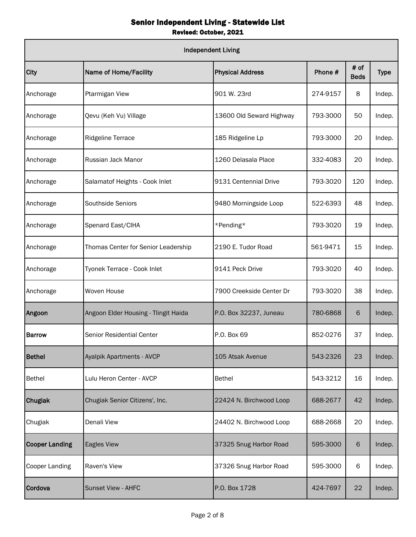| <b>Independent Living</b> |                                      |                          |          |                     |             |  |  |
|---------------------------|--------------------------------------|--------------------------|----------|---------------------|-------------|--|--|
| City                      | Name of Home/Facility                | <b>Physical Address</b>  | Phone #  | # of<br><b>Beds</b> | <b>Type</b> |  |  |
| Anchorage                 | Ptarmigan View                       | 901 W. 23rd              | 274-9157 | 8                   | Indep.      |  |  |
| Anchorage                 | Qevu (Keh Vu) Village                | 13600 Old Seward Highway | 793-3000 | 50                  | Indep.      |  |  |
| Anchorage                 | <b>Ridgeline Terrace</b>             | 185 Ridgeline Lp         | 793-3000 | 20                  | Indep.      |  |  |
| Anchorage                 | Russian Jack Manor                   | 1260 Delasala Place      | 332-4083 | 20                  | Indep.      |  |  |
| Anchorage                 | Salamatof Heights - Cook Inlet       | 9131 Centennial Drive    | 793-3020 | 120                 | Indep.      |  |  |
| Anchorage                 | <b>Southside Seniors</b>             | 9480 Morningside Loop    | 522-6393 | 48                  | Indep.      |  |  |
| Anchorage                 | Spenard East/CIHA                    | *Pending*                | 793-3020 | 19                  | Indep.      |  |  |
| Anchorage                 | Thomas Center for Senior Leadership  | 2190 E. Tudor Road       | 561-9471 | 15                  | Indep.      |  |  |
| Anchorage                 | Tyonek Terrace - Cook Inlet          | 9141 Peck Drive          | 793-3020 | 40                  | Indep.      |  |  |
| Anchorage                 | Woven House                          | 7900 Creekside Center Dr | 793-3020 | 38                  | Indep.      |  |  |
| Angoon                    | Angoon Elder Housing - Tlingit Haida | P.O. Box 32237, Juneau   | 780-6868 | 6                   | Indep.      |  |  |
| <b>Barrow</b>             | Senior Residential Center            | P.O. Box 69              | 852-0276 | 37                  | Indep.      |  |  |
| <b>Bethel</b>             | Ayalpik Apartments - AVCP            | 105 Atsak Avenue         | 543-2326 | 23                  | Indep.      |  |  |
| <b>Bethel</b>             | Lulu Heron Center - AVCP             | <b>Bethel</b>            | 543-3212 | 16                  | Indep.      |  |  |
| Chugiak                   | Chugiak Senior Citizens', Inc.       | 22424 N. Birchwood Loop  | 688-2677 | 42                  | Indep.      |  |  |
| Chugiak                   | Denali View                          | 24402 N. Birchwood Loop  | 688-2668 | 20                  | Indep.      |  |  |
| <b>Cooper Landing</b>     | Eagles View                          | 37325 Snug Harbor Road   | 595-3000 | 6                   | Indep.      |  |  |
| <b>Cooper Landing</b>     | Raven's View                         | 37326 Snug Harbor Road   | 595-3000 | 6                   | Indep.      |  |  |
| Cordova                   | <b>Sunset View - AHFC</b>            | P.O. Box 1728            | 424-7697 | 22                  | Indep.      |  |  |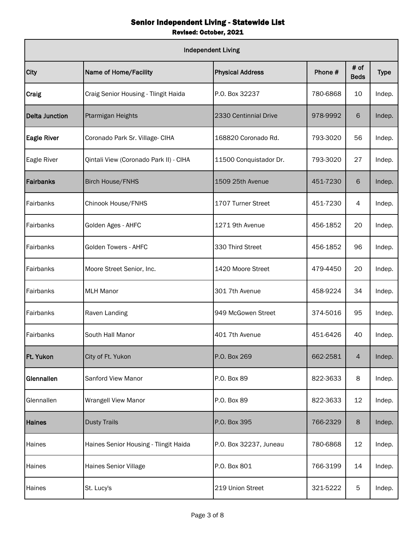| <b>Independent Living</b> |                                        |                         |          |                     |             |  |  |
|---------------------------|----------------------------------------|-------------------------|----------|---------------------|-------------|--|--|
| City                      | Name of Home/Facility                  | <b>Physical Address</b> | Phone #  | # of<br><b>Beds</b> | <b>Type</b> |  |  |
| <b>Craig</b>              | Craig Senior Housing - Tlingit Haida   | P.O. Box 32237          | 780-6868 | 10                  | Indep.      |  |  |
| Delta Junction            | Ptarmigan Heights                      | 2330 Centinnial Drive   | 978-9992 | 6                   | Indep.      |  |  |
| <b>Eagle River</b>        | Coronado Park Sr. Village- CIHA        | 168820 Coronado Rd.     | 793-3020 | 56                  | Indep.      |  |  |
| Eagle River               | Qintali View (Coronado Park II) - CIHA | 11500 Conquistador Dr.  | 793-3020 | 27                  | Indep.      |  |  |
| Fairbanks                 | <b>Birch House/FNHS</b>                | 1509 25th Avenue        | 451-7230 | 6                   | Indep.      |  |  |
| Fairbanks                 | Chinook House/FNHS                     | 1707 Turner Street      | 451-7230 | 4                   | Indep.      |  |  |
| Fairbanks                 | Golden Ages - AHFC                     | 1271 9th Avenue         | 456-1852 | 20                  | Indep.      |  |  |
| Fairbanks                 | Golden Towers - AHFC                   | 330 Third Street        | 456-1852 | 96                  | Indep.      |  |  |
| Fairbanks                 | Moore Street Senior, Inc.              | 1420 Moore Street       | 479-4450 | 20                  | Indep.      |  |  |
| Fairbanks                 | <b>MLH Manor</b>                       | 301 7th Avenue          | 458-9224 | 34                  | Indep.      |  |  |
| Fairbanks                 | Raven Landing                          | 949 McGowen Street      | 374-5016 | 95                  | Indep.      |  |  |
| Fairbanks                 | South Hall Manor                       | 401 7th Avenue          | 451-6426 | 40                  | Indep.      |  |  |
| Ft. Yukon                 | City of Ft. Yukon                      | P.O. Box 269            | 662-2581 | $\overline{4}$      | Indep.      |  |  |
| Glennallen                | Sanford View Manor                     | P.O. Box 89             | 822-3633 | 8                   | Indep.      |  |  |
| Glennallen                | <b>Wrangell View Manor</b>             | P.O. Box 89             | 822-3633 | 12                  | Indep.      |  |  |
| <b>Haines</b>             | <b>Dusty Trails</b>                    | P.O. Box 395            | 766-2329 | 8                   | Indep.      |  |  |
| Haines                    | Haines Senior Housing - Tlingit Haida  | P.O. Box 32237, Juneau  | 780-6868 | 12                  | Indep.      |  |  |
| Haines                    | Haines Senior Village                  | P.O. Box 801            | 766-3199 | 14                  | Indep.      |  |  |
| Haines                    | St. Lucy's                             | 219 Union Street        | 321-5222 | 5                   | Indep.      |  |  |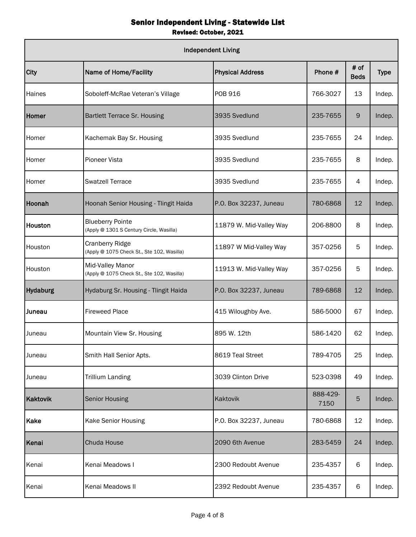|                 | <b>Independent Living</b>                                           |                         |                  |                     |             |  |  |  |
|-----------------|---------------------------------------------------------------------|-------------------------|------------------|---------------------|-------------|--|--|--|
| City            | Name of Home/Facility                                               | <b>Physical Address</b> | Phone #          | # of<br><b>Beds</b> | <b>Type</b> |  |  |  |
| Haines          | Soboleff-McRae Veteran's Village                                    | <b>POB 916</b>          | 766-3027         | 13                  | Indep.      |  |  |  |
| Homer           | <b>Bartlett Terrace Sr. Housing</b>                                 | 3935 Svedlund           | 235-7655         | 9                   | Indep.      |  |  |  |
| Homer           | Kachemak Bay Sr. Housing                                            | 3935 Svedlund           | 235-7655         | 24                  | Indep.      |  |  |  |
| Homer           | Pioneer Vista                                                       | 3935 Svedlund           | 235-7655         | 8                   | Indep.      |  |  |  |
| Homer           | <b>Swatzell Terrace</b>                                             | 3935 Svedlund           | 235-7655         | 4                   | Indep.      |  |  |  |
| Hoonah          | Hoonah Senior Housing - Tlingit Haida                               | P.O. Box 32237, Juneau  | 780-6868         | 12                  | Indep.      |  |  |  |
| Houston         | <b>Blueberry Pointe</b><br>(Apply @ 1301 S Century Circle, Wasilla) | 11879 W. Mid-Valley Way | 206-8800         | 8                   | Indep.      |  |  |  |
| Houston         | Cranberry Ridge<br>(Apply @ 1075 Check St., Ste 102, Wasilla)       | 11897 W Mid-Valley Way  | 357-0256         | 5                   | Indep.      |  |  |  |
| Houston         | Mid-Valley Manor<br>(Apply @ 1075 Check St., Ste 102, Wasilla)      | 11913 W. Mid-Valley Way | 357-0256         | 5                   | Indep.      |  |  |  |
| <b>Hydaburg</b> | Hydaburg Sr. Housing - Tlingit Haida                                | P.O. Box 32237, Juneau  | 789-6868         | 12                  | Indep.      |  |  |  |
| Juneau          | <b>Fireweed Place</b>                                               | 415 Wiloughby Ave.      | 586-5000         | 67                  | Indep.      |  |  |  |
| Juneau          | Mountain View Sr. Housing                                           | 895 W. 12th             | 586-1420         | 62                  | Indep.      |  |  |  |
| Juneau          | Smith Hall Senior Apts.                                             | 8619 Teal Street        | 789-4705         | 25                  | Indep.      |  |  |  |
| Juneau          | <b>Trillium Landing</b>                                             | 3039 Clinton Drive      | 523-0398         | 49                  | Indep.      |  |  |  |
| Kaktovik        | <b>Senior Housing</b>                                               | Kaktovik                | 888-429-<br>7150 | $5\phantom{.0}$     | Indep.      |  |  |  |
| Kake            | Kake Senior Housing                                                 | P.O. Box 32237, Juneau  | 780-6868         | 12                  | Indep.      |  |  |  |
| Kenai           | Chuda House                                                         | 2090 6th Avenue         | 283-5459         | 24                  | Indep.      |  |  |  |
| Kenai           | Kenai Meadows I                                                     | 2300 Redoubt Avenue     | 235-4357         | 6                   | Indep.      |  |  |  |
| Kenai           | Kenai Meadows II                                                    | 2392 Redoubt Avenue     | 235-4357         | 6                   | Indep.      |  |  |  |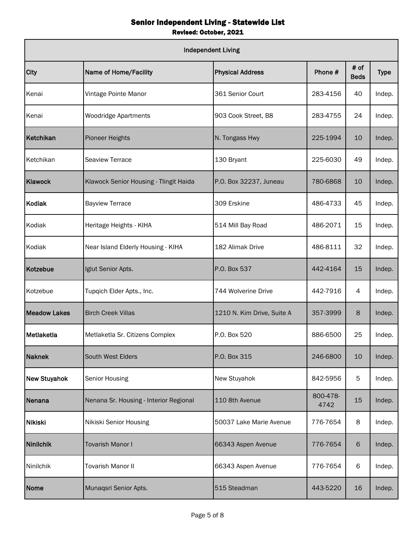| <b>Independent Living</b> |                                        |                            |                  |                     |             |  |  |
|---------------------------|----------------------------------------|----------------------------|------------------|---------------------|-------------|--|--|
| City                      | Name of Home/Facility                  | <b>Physical Address</b>    | Phone #          | # of<br><b>Beds</b> | <b>Type</b> |  |  |
| Kenai                     | Vintage Pointe Manor                   | 361 Senior Court           | 283-4156         | 40                  | Indep.      |  |  |
| Kenai                     | <b>Woodridge Apartments</b>            | 903 Cook Street, B8        | 283-4755         | 24                  | Indep.      |  |  |
| Ketchikan                 | <b>Pioneer Heights</b>                 | N. Tongass Hwy             | 225-1994         | 10                  | Indep.      |  |  |
| Ketchikan                 | <b>Seaview Terrace</b>                 | 130 Bryant                 | 225-6030         | 49                  | Indep.      |  |  |
| Klawock                   | Klawock Senior Housing - Tlingit Haida | P.O. Box 32237, Juneau     | 780-6868         | 10                  | Indep.      |  |  |
| Kodiak                    | <b>Bayview Terrace</b>                 | 309 Erskine                | 486-4733         | 45                  | Indep.      |  |  |
| Kodiak                    | Heritage Heights - KIHA                | 514 Mill Bay Road          | 486-2071         | 15                  | Indep.      |  |  |
| Kodiak                    | Near Island Elderly Housing - KIHA     | 182 Alimak Drive           | 486-8111         | 32                  | Indep.      |  |  |
| <b>Kotzebue</b>           | Iglut Senior Apts.                     | P.O. Box 537               | 442-4164         | 15                  | Indep.      |  |  |
| Kotzebue                  | Tupqich Elder Apts., Inc.              | 744 Wolverine Drive        | 442-7916         | 4                   | Indep.      |  |  |
| <b>Meadow Lakes</b>       | <b>Birch Creek Villas</b>              | 1210 N. Kim Drive, Suite A | 357-3999         | 8                   | Indep.      |  |  |
| Metlaketla                | Metlaketla Sr. Citizens Complex        | P.O. Box 520               | 886-6500         | 25                  | Indep.      |  |  |
| <b>Naknek</b>             | South West Elders                      | P.O. Box 315               | 246-6800         | 10                  | Indep.      |  |  |
| New Stuyahok              | Senior Housing                         | New Stuyahok               | 842-5956         | 5                   | Indep.      |  |  |
| Nenana                    | Nenana Sr. Housing - Interior Regional | 110 8th Avenue             | 800-478-<br>4742 | 15                  | Indep.      |  |  |
| <b>Nikiski</b>            | Nikiski Senior Housing                 | 50037 Lake Marie Avenue    | 776-7654         | 8                   | Indep.      |  |  |
| <b>Ninilchik</b>          | <b>Tovarish Manor I</b>                | 66343 Aspen Avenue         | 776-7654         | 6                   | Indep.      |  |  |
| Ninilchik                 | <b>Tovarish Manor II</b>               | 66343 Aspen Avenue         | 776-7654         | 6                   | Indep.      |  |  |
| Nome                      | Munaqsri Senior Apts.                  | 515 Steadman               | 443-5220         | 16                  | Indep.      |  |  |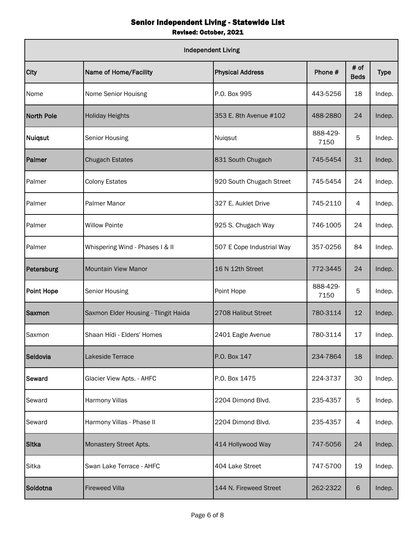| <b>Independent Living</b> |                                      |                           |                  |                     |             |  |  |
|---------------------------|--------------------------------------|---------------------------|------------------|---------------------|-------------|--|--|
| City                      | Name of Home/Facility                | <b>Physical Address</b>   | Phone #          | # of<br><b>Beds</b> | <b>Type</b> |  |  |
| Nome                      | Nome Senior Houisng                  | P.O. Box 995              | 443-5256         | 18                  | Indep.      |  |  |
| <b>North Pole</b>         | <b>Holiday Heights</b>               | 353 E. 8th Avenue #102    | 488-2880         | 24                  | Indep.      |  |  |
| Nuiqsut                   | Senior Housing                       | Nuiqsut                   | 888-429-<br>7150 | 5                   | Indep.      |  |  |
| Palmer                    | <b>Chugach Estates</b>               | 831 South Chugach         | 745-5454         | 31                  | Indep.      |  |  |
| Palmer                    | <b>Colony Estates</b>                | 920 South Chugach Street  | 745-5454         | 24                  | Indep.      |  |  |
| Palmer                    | <b>Palmer Manor</b>                  | 327 E. Auklet Drive       | 745-2110         | 4                   | Indep.      |  |  |
| Palmer                    | <b>Willow Pointe</b>                 | 925 S. Chugach Way        | 746-1005         | 24                  | Indep.      |  |  |
| Palmer                    | Whispering Wind - Phases I & II      | 507 E Cope Industrial Way | 357-0256         | 84                  | Indep.      |  |  |
| Petersburg                | <b>Mountain View Manor</b>           | 16 N 12th Street          | 772-3445         | 24                  | Indep.      |  |  |
| <b>Point Hope</b>         | <b>Senior Housing</b>                | Point Hope                | 888-429-<br>7150 | 5                   | Indep.      |  |  |
| <b>Saxmon</b>             | Saxmon Elder Housing - Tlingit Haida | 2708 Halibut Street       | 780-3114         | 12                  | Indep.      |  |  |
| Saxmon                    | Shaan Hídi - Elders' Homes           | 2401 Eagle Avenue         | 780-3114         | 17                  | Indep.      |  |  |
| Seldovia                  | Lakeside Terrace                     | P.O. Box 147              | 234-7864         | 18                  | Indep.      |  |  |
| Seward                    | Glacier View Apts. - AHFC            | P.O. Box 1475             | 224-3737         | 30                  | Indep.      |  |  |
| Seward                    | <b>Harmony Villas</b>                | 2204 Dimond Blvd.         | 235-4357         | 5                   | Indep.      |  |  |
| Seward                    | Harmony Villas - Phase II            | 2204 Dimond Blvd.         | 235-4357         | 4                   | Indep.      |  |  |
| <b>Sitka</b>              | Monastery Street Apts.               | 414 Hollywood Way         | 747-5056         | 24                  | Indep.      |  |  |
| Sitka                     | Swan Lake Terrace - AHFC             | 404 Lake Street           | 747-5700         | 19                  | Indep.      |  |  |
| Soldotna                  | <b>Fireweed Villa</b>                | 144 N. Fireweed Street    | 262-2322         | 6                   | Indep.      |  |  |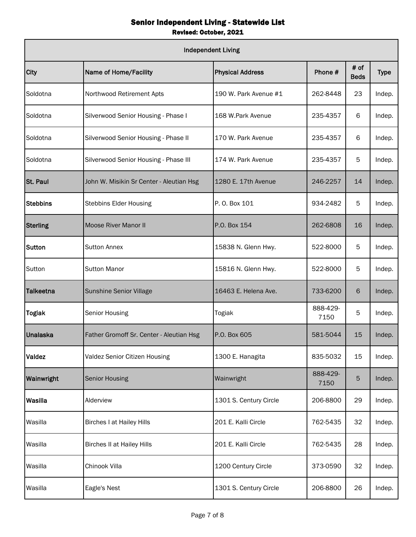| <b>Independent Living</b> |                                          |                         |                  |                     |             |  |  |
|---------------------------|------------------------------------------|-------------------------|------------------|---------------------|-------------|--|--|
| City                      | Name of Home/Facility                    | <b>Physical Address</b> | Phone #          | # of<br><b>Beds</b> | <b>Type</b> |  |  |
| Soldotna                  | Northwood Retirement Apts                | 190 W. Park Avenue #1   | 262-8448         | 23                  | Indep.      |  |  |
| Soldotna                  | Silverwood Senior Housing - Phase I      | 168 W.Park Avenue       | 235-4357         | 6                   | Indep.      |  |  |
| Soldotna                  | Silverwood Senior Housing - Phase II     | 170 W. Park Avenue      | 235-4357         | 6                   | Indep.      |  |  |
| Soldotna                  | Silverwood Senior Housing - Phase III    | 174 W. Park Avenue      | 235-4357         | 5                   | Indep.      |  |  |
| St. Paul                  | John W. Misikin Sr Center - Aleutian Hsg | 1280 E. 17th Avenue     | 246-2257         | 14                  | Indep.      |  |  |
| <b>Stebbins</b>           | <b>Stebbins Elder Housing</b>            | P. O. Box 101           | 934-2482         | 5                   | Indep.      |  |  |
| <b>Sterling</b>           | <b>Moose River Manor II</b>              | P.O. Box 154            | 262-6808         | 16                  | Indep.      |  |  |
| Sutton                    | <b>Sutton Annex</b>                      | 15838 N. Glenn Hwy.     | 522-8000         | 5                   | Indep.      |  |  |
| Sutton                    | <b>Sutton Manor</b>                      | 15816 N. Glenn Hwy.     | 522-8000         | 5                   | Indep.      |  |  |
| <b>Talkeetna</b>          | Sunshine Senior Village                  | 16463 E. Helena Ave.    | 733-6200         | 6                   | Indep.      |  |  |
| <b>Togiak</b>             | Senior Housing                           | Togiak                  | 888-429-<br>7150 | 5                   | Indep.      |  |  |
| Unalaska                  | Father Gromoff Sr. Center - Aleutian Hsg | P.O. Box 605            | 581-5044         | 15                  | Indep.      |  |  |
| Valdez                    | Valdez Senior Citizen Housing            | 1300 E. Hanagita        | 835-5032         | 15                  | Indep.      |  |  |
| Wainwright                | <b>Senior Housing</b>                    | Wainwright              | 888-429-<br>7150 | 5                   | Indep.      |  |  |
| Wasilla                   | Alderview                                | 1301 S. Century Circle  | 206-8800         | 29                  | Indep.      |  |  |
| Wasilla                   | <b>Birches I at Hailey Hills</b>         | 201 E. Kalli Circle     | 762-5435         | 32                  | Indep.      |  |  |
| Wasilla                   | <b>Birches II at Hailey Hills</b>        | 201 E. Kalli Circle     | 762-5435         | 28                  | Indep.      |  |  |
| Wasilla                   | Chinook Villa                            | 1200 Century Circle     | 373-0590         | 32                  | Indep.      |  |  |
| Wasilla                   | Eagle's Nest                             | 1301 S. Century Circle  | 206-8800         | 26                  | Indep.      |  |  |